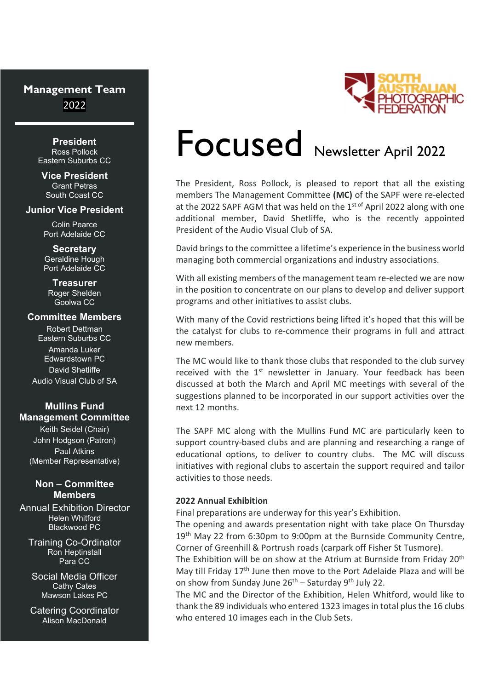# Management Team 2022

**President**<br>Ross Pollock Eastern Suburbs CC

Vice President Grant Petras South Coast CC

#### Junior Vice President

Colin Pearce Port Adelaide CC

**Secretary** Geraldine Hough Port Adelaide CC

#### **Treasurer**

Roger Shelden Goolwa CC

#### Committee Members

Robert Dettman Eastern Suburbs CC Amanda Luker

Edwardstown PC David Shetliffe Audio Visual Club of SA

### Mullins Fund Management Committee

Keith Seidel (Chair) John Hodgson (Patron) Paul Atkins (Member Representative)

#### Non – Committee **Members**

Annual Exhibition Director Helen Whitford Blackwood PC

Training Co-Ordinator Ron Heptinstall

Social Media Officer Cathy Cates Mawson Lakes PC

Catering Coordinator Alison MacDonald



# Focused Newsletter April 2022

The President, Ross Pollock, is pleased to report that all the existing members The Management Committee (MC) of the SAPF were re-elected at the 2022 SAPF AGM that was held on the  $1<sup>st of</sup>$  April 2022 along with one additional member, David Shetliffe, who is the recently appointed President of the Audio Visual Club of SA.

David brings to the committee a lifetime's experience in the business world managing both commercial organizations and industry associations.

With all existing members of the management team re-elected we are now in the position to concentrate on our plans to develop and deliver support programs and other initiatives to assist clubs.

With many of the Covid restrictions being lifted it's hoped that this will be the catalyst for clubs to re-commence their programs in full and attract new members.

The MC would like to thank those clubs that responded to the club survey received with the 1<sup>st</sup> newsletter in January. Your feedback has been discussed at both the March and April MC meetings with several of the suggestions planned to be incorporated in our support activities over the next 12 months.

The SAPF MC along with the Mullins Fund MC are particularly keen to support country-based clubs and are planning and researching a range of educational options, to deliver to country clubs. The MC will discuss initiatives with regional clubs to ascertain the support required and tailor activities to those needs.

#### 2022 Annual Exhibition

Final preparations are underway for this year's Exhibition.

The opening and awards presentation night with take place On Thursday 19<sup>th</sup> May 22 from 6:30pm to 9:00pm at the Burnside Community Centre, Corner of Greenhill & Portrush roads (carpark off Fisher St Tusmore).

**Para CC The Exhibition will be on show at the Atrium at Burnside from Friday 20<sup>th</sup>** May till Friday 17<sup>th</sup> June then move to the Port Adelaide Plaza and will be on show from Sunday June  $26<sup>th</sup>$  – Saturday 9<sup>th</sup> July 22.

> The MC and the Director of the Exhibition, Helen Whitford, would like to thank the 89 individuals who entered 1323 images in total plus the 16 clubs who entered 10 images each in the Club Sets.